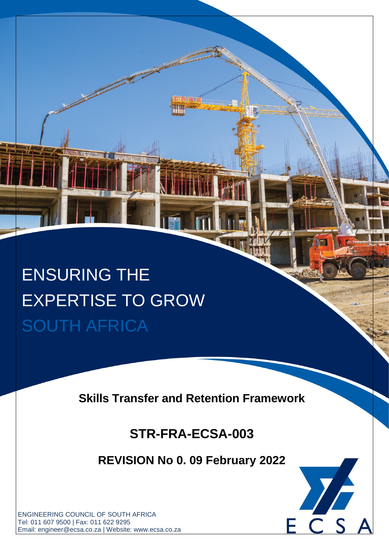# ENSURING THE EXPERTISE TO GROW SOUTH AFRICA

**Skills Transfer and Retention Framework**

# **STR-FRA-ECSA-003**

**REVISION No 0. 09 February 2022**



ENGINEERING COUNCIL OF SOUTH AFRICA Tel: 011 607 9500 | Fax: 011 622 9295 Email: engineer@ecsa.co.za | Website: www.ecsa.co.za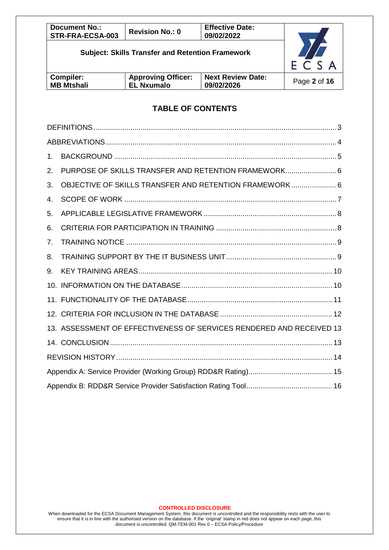| <b>Document No.:</b><br>STR-FRA-ECSA-003                | <b>Revision No.: 0</b> | <b>Effective Date:</b><br>09/02/2022 |      |
|---------------------------------------------------------|------------------------|--------------------------------------|------|
| <b>Subject: Skills Transfer and Retention Framework</b> |                        |                                      | ECSA |
| <b>Compiler:</b><br><b>MB Mtshali</b>                   | Page 2 of 16           |                                      |      |

## **TABLE OF CONTENTS**

| 1.             |                                                                      |  |
|----------------|----------------------------------------------------------------------|--|
| 2.             | PURPOSE OF SKILLS TRANSFER AND RETENTION FRAMEWORK 6                 |  |
| 3.             | OBJECTIVE OF SKILLS TRANSFER AND RETENTION FRAMEWORK 6               |  |
| 4.             |                                                                      |  |
| 5.             |                                                                      |  |
| 6.             |                                                                      |  |
| 7 <sub>1</sub> |                                                                      |  |
| 8.             |                                                                      |  |
| 9.             |                                                                      |  |
|                |                                                                      |  |
|                |                                                                      |  |
|                |                                                                      |  |
|                | 13. ASSESSMENT OF EFFECTIVENESS OF SERVICES RENDERED AND RECEIVED 13 |  |
|                |                                                                      |  |
|                |                                                                      |  |
|                |                                                                      |  |
|                |                                                                      |  |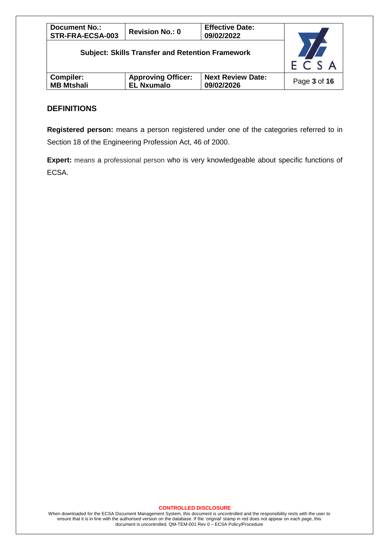| <b>Document No.:</b><br>STR-FRA-ECSA-003                                                                         | <b>Revision No.: 0</b> | <b>Effective Date:</b><br>09/02/2022 |                     |
|------------------------------------------------------------------------------------------------------------------|------------------------|--------------------------------------|---------------------|
| <b>Subject: Skills Transfer and Retention Framework</b><br><b>Approving Officer:</b><br><b>Next Review Date:</b> |                        |                                      | $E\overline{C} S A$ |
| Compiler:<br><b>MB Mtshali</b>                                                                                   | <b>EL Nxumalo</b>      | 09/02/2026                           | Page 3 of 16        |

#### **DEFINITIONS**

**Registered person:** means a person registered under one of the categories referred to in Section 18 of the Engineering Profession Act, 46 of 2000.

**Expert:** means a professional person who is very knowledgeable about specific functions of ECSA.

#### **CONTROLLED DISCLOSURE**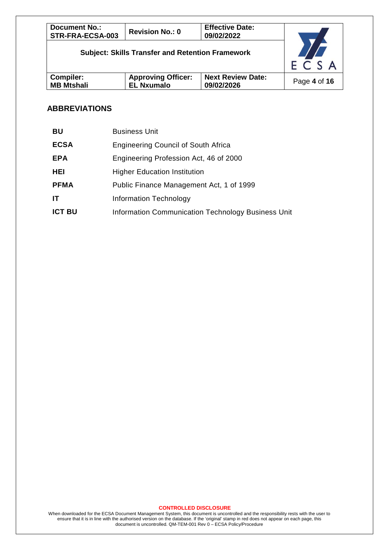| <b>Document No.:</b><br>STR-FRA-ECSA-003                | <b>Revision No.: 0</b>                         | <b>Effective Date:</b><br>09/02/2022   |              |
|---------------------------------------------------------|------------------------------------------------|----------------------------------------|--------------|
| <b>Subject: Skills Transfer and Retention Framework</b> |                                                |                                        | ECSA         |
| <b>Compiler:</b><br><b>MB Mtshali</b>                   | <b>Approving Officer:</b><br><b>EL Nxumalo</b> | <b>Next Review Date:</b><br>09/02/2026 | Page 4 of 16 |

## **ABBREVIATIONS**

| BU            | <b>Business Unit</b>                               |
|---------------|----------------------------------------------------|
| <b>ECSA</b>   | <b>Engineering Council of South Africa</b>         |
| <b>EPA</b>    | Engineering Profession Act, 46 of 2000             |
| HEI           | <b>Higher Education Institution</b>                |
| <b>PFMA</b>   | Public Finance Management Act, 1 of 1999           |
| IT.           | <b>Information Technology</b>                      |
| <b>ICT BU</b> | Information Communication Technology Business Unit |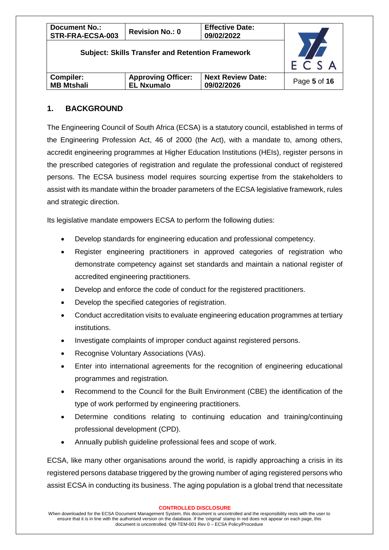| <b>Document No.:</b><br>STR-FRA-ECSA-003                | <b>Revision No.: 0</b>                         | <b>Effective Date:</b><br>09/02/2022   |              |
|---------------------------------------------------------|------------------------------------------------|----------------------------------------|--------------|
| <b>Subject: Skills Transfer and Retention Framework</b> |                                                |                                        | ECSA         |
| <b>Compiler:</b><br><b>MB Mtshali</b>                   | <b>Approving Officer:</b><br><b>EL Nxumalo</b> | <b>Next Review Date:</b><br>09/02/2026 | Page 5 of 16 |

#### **1. BACKGROUND**

The Engineering Council of South Africa (ECSA) is a statutory council, established in terms of the Engineering Profession Act, 46 of 2000 (the Act), with a mandate to, among others, accredit engineering programmes at Higher Education Institutions (HEIs), register persons in the prescribed categories of registration and regulate the professional conduct of registered persons. The ECSA business model requires sourcing expertise from the stakeholders to assist with its mandate within the broader parameters of the ECSA legislative framework, rules and strategic direction.

Its legislative mandate empowers ECSA to perform the following duties:

- Develop standards for engineering education and professional competency.
- Register engineering practitioners in approved categories of registration who demonstrate competency against set standards and maintain a national register of accredited engineering practitioners.
- Develop and enforce the code of conduct for the registered practitioners.
- Develop the specified categories of registration.
- Conduct accreditation visits to evaluate engineering education programmes at tertiary institutions.
- Investigate complaints of improper conduct against registered persons.
- Recognise Voluntary Associations (VAs).
- Enter into international agreements for the recognition of engineering educational programmes and registration.
- Recommend to the Council for the Built Environment (CBE) the identification of the type of work performed by engineering practitioners.
- Determine conditions relating to continuing education and training/continuing professional development (CPD).
- Annually publish guideline professional fees and scope of work.

ECSA, like many other organisations around the world, is rapidly approaching a crisis in its registered persons database triggered by the growing number of aging registered persons who assist ECSA in conducting its business. The aging population is a global trend that necessitate

#### **CONTROLLED DISCLOSURE**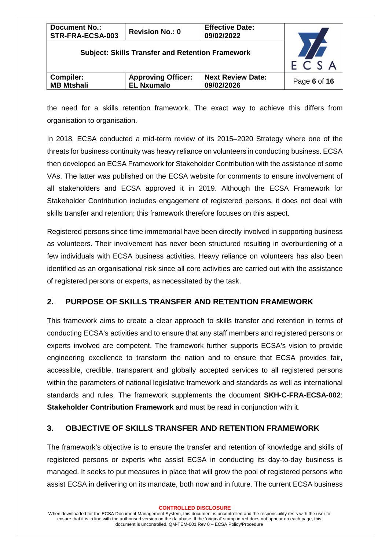| <b>Document No.:</b><br>STR-FRA-ECSA-003                | <b>Revision No.: 0</b>                         | <b>Effective Date:</b><br>09/02/2022   |              |
|---------------------------------------------------------|------------------------------------------------|----------------------------------------|--------------|
| <b>Subject: Skills Transfer and Retention Framework</b> | $E\overline{C}$ S A                            |                                        |              |
| <b>Compiler:</b><br><b>MB Mtshali</b>                   | <b>Approving Officer:</b><br><b>EL Nxumalo</b> | <b>Next Review Date:</b><br>09/02/2026 | Page 6 of 16 |

the need for a skills retention framework. The exact way to achieve this differs from organisation to organisation.

In 2018, ECSA conducted a mid-term review of its 2015–2020 Strategy where one of the threats for business continuity was heavy reliance on volunteers in conducting business. ECSA then developed an ECSA Framework for Stakeholder Contribution with the assistance of some VAs. The latter was published on the ECSA website for comments to ensure involvement of all stakeholders and ECSA approved it in 2019. Although the ECSA Framework for Stakeholder Contribution includes engagement of registered persons, it does not deal with skills transfer and retention; this framework therefore focuses on this aspect.

Registered persons since time immemorial have been directly involved in supporting business as volunteers. Their involvement has never been structured resulting in overburdening of a few individuals with ECSA business activities. Heavy reliance on volunteers has also been identified as an organisational risk since all core activities are carried out with the assistance of registered persons or experts, as necessitated by the task.

#### **2. PURPOSE OF SKILLS TRANSFER AND RETENTION FRAMEWORK**

This framework aims to create a clear approach to skills transfer and retention in terms of conducting ECSA's activities and to ensure that any staff members and registered persons or experts involved are competent. The framework further supports ECSA's vision to provide engineering excellence to transform the nation and to ensure that ECSA provides fair, accessible, credible, transparent and globally accepted services to all registered persons within the parameters of national legislative framework and standards as well as international standards and rules. The framework supplements the document **SKH-C-FRA-ECSA-002**: **Stakeholder Contribution Framework** and must be read in conjunction with it.

## **3. OBJECTIVE OF SKILLS TRANSFER AND RETENTION FRAMEWORK**

The framework's objective is to ensure the transfer and retention of knowledge and skills of registered persons or experts who assist ECSA in conducting its day-to-day business is managed. It seeks to put measures in place that will grow the pool of registered persons who assist ECSA in delivering on its mandate, both now and in future. The current ECSA business

When downloaded for the ECSA Document Management System, this document is uncontrolled and the responsibility rests with the user to ensure that it is in line with the authorised version on the database. If the 'original' stamp in red does not appear on each page, this document is uncontrolled. QM-TEM-001 Rev 0 – ECSA Policy/Procedure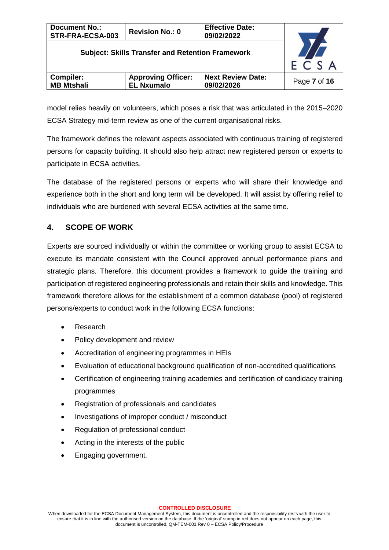| <b>Document No.:</b><br>STR-FRA-ECSA-003                | <b>Revision No.: 0</b>                         | <b>Effective Date:</b><br>09/02/2022   |                     |
|---------------------------------------------------------|------------------------------------------------|----------------------------------------|---------------------|
| <b>Subject: Skills Transfer and Retention Framework</b> |                                                |                                        | $E\overline{C} S A$ |
| <b>Compiler:</b><br><b>MB Mtshali</b>                   | <b>Approving Officer:</b><br><b>EL Nxumalo</b> | <b>Next Review Date:</b><br>09/02/2026 | Page 7 of 16        |

model relies heavily on volunteers, which poses a risk that was articulated in the 2015–2020 ECSA Strategy mid-term review as one of the current organisational risks.

The framework defines the relevant aspects associated with continuous training of registered persons for capacity building. It should also help attract new registered person or experts to participate in ECSA activities.

The database of the registered persons or experts who will share their knowledge and experience both in the short and long term will be developed. It will assist by offering relief to individuals who are burdened with several ECSA activities at the same time.

## **4. SCOPE OF WORK**

Experts are sourced individually or within the committee or working group to assist ECSA to execute its mandate consistent with the Council approved annual performance plans and strategic plans. Therefore, this document provides a framework to guide the training and participation of registered engineering professionals and retain their skills and knowledge. This framework therefore allows for the establishment of a common database (pool) of registered persons/experts to conduct work in the following ECSA functions:

- Research
- Policy development and review
- Accreditation of engineering programmes in HEIs
- Evaluation of educational background qualification of non-accredited qualifications
- Certification of engineering training academies and certification of candidacy training programmes
- Registration of professionals and candidates
- Investigations of improper conduct / misconduct
- Regulation of professional conduct
- Acting in the interests of the public
- Engaging government.

#### **CONTROLLED DISCLOSURE**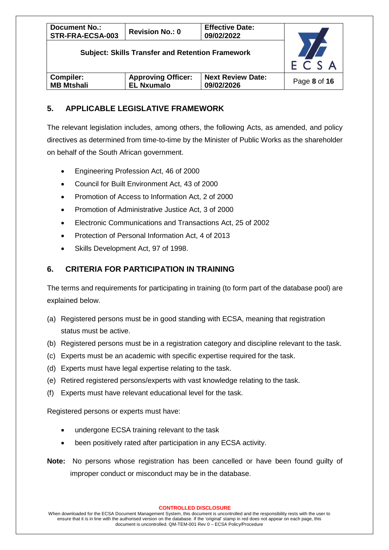| <b>Document No.:</b><br>STR-FRA-ECSA-003                | <b>Revision No.: 0</b>                         | <b>Effective Date:</b><br>09/02/2022   |                      |
|---------------------------------------------------------|------------------------------------------------|----------------------------------------|----------------------|
| <b>Subject: Skills Transfer and Retention Framework</b> |                                                |                                        | $F \overline{C} S A$ |
| <b>Compiler:</b><br><b>MB Mtshali</b>                   | <b>Approving Officer:</b><br><b>EL Nxumalo</b> | <b>Next Review Date:</b><br>09/02/2026 | Page 8 of 16         |

## **5. APPLICABLE LEGISLATIVE FRAMEWORK**

The relevant legislation includes, among others, the following Acts, as amended, and policy directives as determined from time-to-time by the Minister of Public Works as the shareholder on behalf of the South African government.

- Engineering Profession Act, 46 of 2000
- Council for Built Environment Act, 43 of 2000
- Promotion of Access to Information Act, 2 of 2000
- Promotion of Administrative Justice Act, 3 of 2000
- Electronic Communications and Transactions Act, 25 of 2002
- Protection of Personal Information Act, 4 of 2013
- Skills Development Act, 97 of 1998.

## **6. CRITERIA FOR PARTICIPATION IN TRAINING**

The terms and requirements for participating in training (to form part of the database pool) are explained below.

- (a) Registered persons must be in good standing with ECSA, meaning that registration status must be active.
- (b) Registered persons must be in a registration category and discipline relevant to the task.
- (c) Experts must be an academic with specific expertise required for the task.
- (d) Experts must have legal expertise relating to the task.
- (e) Retired registered persons/experts with vast knowledge relating to the task.
- (f) Experts must have relevant educational level for the task.

Registered persons or experts must have:

- undergone ECSA training relevant to the task
- been positively rated after participation in any ECSA activity.
- **Note:** No persons whose registration has been cancelled or have been found guilty of improper conduct or misconduct may be in the database.

**CONTROLLED DISCLOSURE**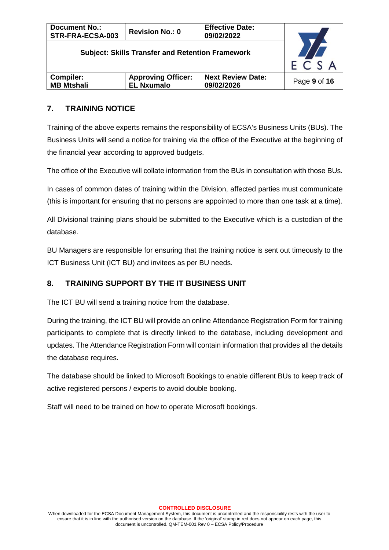| <b>Document No.:</b><br>STR-FRA-ECSA-003                | <b>Revision No.: 0</b>                         | <b>Effective Date:</b><br>09/02/2022   |              |
|---------------------------------------------------------|------------------------------------------------|----------------------------------------|--------------|
| <b>Subject: Skills Transfer and Retention Framework</b> | $E\overline{C}$ S A                            |                                        |              |
| Compiler:<br><b>MB Mtshali</b>                          | <b>Approving Officer:</b><br><b>EL Nxumalo</b> | <b>Next Review Date:</b><br>09/02/2026 | Page 9 of 16 |

## **7. TRAINING NOTICE**

Training of the above experts remains the responsibility of ECSA's Business Units (BUs). The Business Units will send a notice for training via the office of the Executive at the beginning of the financial year according to approved budgets.

The office of the Executive will collate information from the BUs in consultation with those BUs.

In cases of common dates of training within the Division, affected parties must communicate (this is important for ensuring that no persons are appointed to more than one task at a time).

All Divisional training plans should be submitted to the Executive which is a custodian of the database.

BU Managers are responsible for ensuring that the training notice is sent out timeously to the ICT Business Unit (ICT BU) and invitees as per BU needs.

#### **8. TRAINING SUPPORT BY THE IT BUSINESS UNIT**

The ICT BU will send a training notice from the database.

During the training, the ICT BU will provide an online Attendance Registration Form for training participants to complete that is directly linked to the database, including development and updates. The Attendance Registration Form will contain information that provides all the details the database requires.

The database should be linked to Microsoft Bookings to enable different BUs to keep track of active registered persons / experts to avoid double booking.

Staff will need to be trained on how to operate Microsoft bookings.

#### **CONTROLLED DISCLOSURE**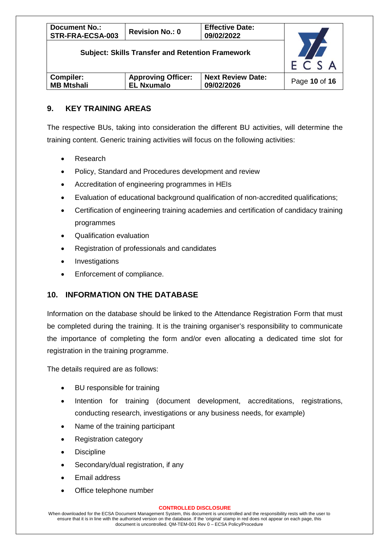| <b>Document No.:</b><br>STR-FRA-ECSA-003                | <b>Revision No.: 0</b>                         | <b>Effective Date:</b><br>09/02/2022   |                     |
|---------------------------------------------------------|------------------------------------------------|----------------------------------------|---------------------|
| <b>Subject: Skills Transfer and Retention Framework</b> |                                                |                                        | $E\overline{C} S A$ |
| <b>Compiler:</b><br><b>MB Mtshali</b>                   | <b>Approving Officer:</b><br><b>EL Nxumalo</b> | <b>Next Review Date:</b><br>09/02/2026 | Page 10 of 16       |

## **9. KEY TRAINING AREAS**

The respective BUs, taking into consideration the different BU activities, will determine the training content. Generic training activities will focus on the following activities:

- Research
- Policy, Standard and Procedures development and review
- Accreditation of engineering programmes in HEIs
- Evaluation of educational background qualification of non-accredited qualifications;
- Certification of engineering training academies and certification of candidacy training programmes
- Qualification evaluation
- Registration of professionals and candidates
- **Investigations**
- Enforcement of compliance.

#### **10. INFORMATION ON THE DATABASE**

Information on the database should be linked to the Attendance Registration Form that must be completed during the training. It is the training organiser's responsibility to communicate the importance of completing the form and/or even allocating a dedicated time slot for registration in the training programme.

The details required are as follows:

- BU responsible for training
- Intention for training (document development, accreditations, registrations, conducting research, investigations or any business needs, for example)
- Name of the training participant
- Registration category
- **Discipline**
- Secondary/dual registration, if any
- Email address
- Office telephone number

#### **CONTROLLED DISCLOSURE**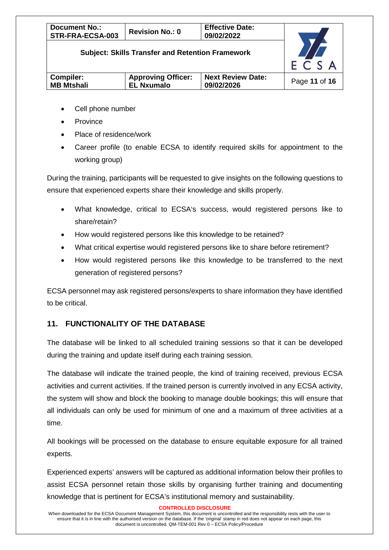| <b>Document No.:</b><br>STR-FRA-ECSA-003                | <b>Revision No.: 0</b> | <b>Effective Date:</b><br>09/02/2022 |                     |
|---------------------------------------------------------|------------------------|--------------------------------------|---------------------|
| <b>Subject: Skills Transfer and Retention Framework</b> |                        |                                      | $E\overline{C}$ S A |
| <b>Compiler:</b><br><b>MB Mtshali</b>                   | Page 11 of 16          |                                      |                     |

- Cell phone number
- **Province**
- Place of residence/work
- Career profile (to enable ECSA to identify required skills for appointment to the working group)

During the training, participants will be requested to give insights on the following questions to ensure that experienced experts share their knowledge and skills properly.

- What knowledge, critical to ECSA's success, would registered persons like to share/retain?
- How would registered persons like this knowledge to be retained?
- What critical expertise would registered persons like to share before retirement?
- How would registered persons like this knowledge to be transferred to the next generation of registered persons?

ECSA personnel may ask registered persons/experts to share information they have identified to be critical.

#### **11. FUNCTIONALITY OF THE DATABASE**

The database will be linked to all scheduled training sessions so that it can be developed during the training and update itself during each training session.

The database will indicate the trained people, the kind of training received, previous ECSA activities and current activities. If the trained person is currently involved in any ECSA activity, the system will show and block the booking to manage double bookings; this will ensure that all individuals can only be used for minimum of one and a maximum of three activities at a time.

All bookings will be processed on the database to ensure equitable exposure for all trained experts.

Experienced experts' answers will be captured as additional information below their profiles to assist ECSA personnel retain those skills by organising further training and documenting knowledge that is pertinent for ECSA's institutional memory and sustainability.

**CONTROLLED DISCLOSURE**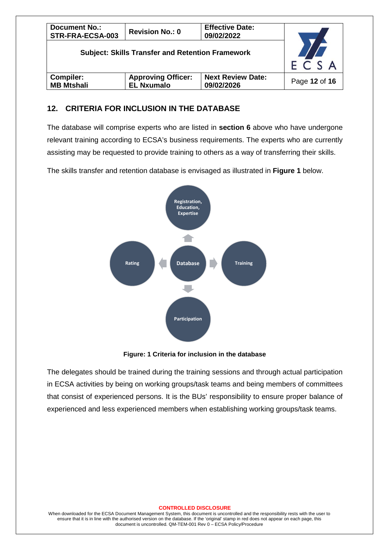| <b>Document No.:</b><br>STR-FRA-ECSA-003                | <b>Revision No.: 0</b>                         |                                        |               |
|---------------------------------------------------------|------------------------------------------------|----------------------------------------|---------------|
| <b>Subject: Skills Transfer and Retention Framework</b> | $F \overline{C} S A$                           |                                        |               |
| Compiler:<br><b>MB Mtshali</b>                          | <b>Approving Officer:</b><br><b>EL Nxumalo</b> | <b>Next Review Date:</b><br>09/02/2026 | Page 12 of 16 |

#### **12. CRITERIA FOR INCLUSION IN THE DATABASE**

The database will comprise experts who are listed in **section 6** above who have undergone relevant training according to ECSA's business requirements. The experts who are currently assisting may be requested to provide training to others as a way of transferring their skills.

The skills transfer and retention database is envisaged as illustrated in **Figure 1** below.



**Figure: 1 Criteria for inclusion in the database**

The delegates should be trained during the training sessions and through actual participation in ECSA activities by being on working groups/task teams and being members of committees that consist of experienced persons. It is the BUs' responsibility to ensure proper balance of experienced and less experienced members when establishing working groups/task teams.

#### **CONTROLLED DISCLOSURE**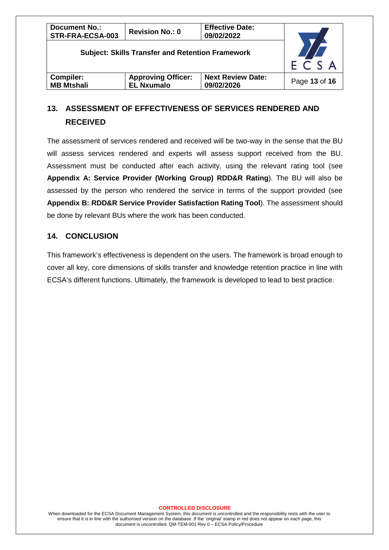| <b>Document No.:</b><br>STR-FRA-ECSA-003                |                                                |                                        |               |
|---------------------------------------------------------|------------------------------------------------|----------------------------------------|---------------|
| <b>Subject: Skills Transfer and Retention Framework</b> | $E\overline{C} S A$                            |                                        |               |
| <b>Compiler:</b><br><b>MB Mtshali</b>                   | <b>Approving Officer:</b><br><b>EL Nxumalo</b> | <b>Next Review Date:</b><br>09/02/2026 | Page 13 of 16 |

## **13. ASSESSMENT OF EFFECTIVENESS OF SERVICES RENDERED AND RECEIVED**

The assessment of services rendered and received will be two-way in the sense that the BU will assess services rendered and experts will assess support received from the BU. Assessment must be conducted after each activity, using the relevant rating tool (see **Appendix A: Service Provider (Working Group) RDD&R Rating**). The BU will also be assessed by the person who rendered the service in terms of the support provided (see **Appendix B: RDD&R Service Provider Satisfaction Rating Tool**). The assessment should be done by relevant BUs where the work has been conducted.

#### **14. CONCLUSION**

This framework's effectiveness is dependent on the users. The framework is broad enough to cover all key, core dimensions of skills transfer and knowledge retention practice in line with ECSA's different functions. Ultimately, the framework is developed to lead to best practice.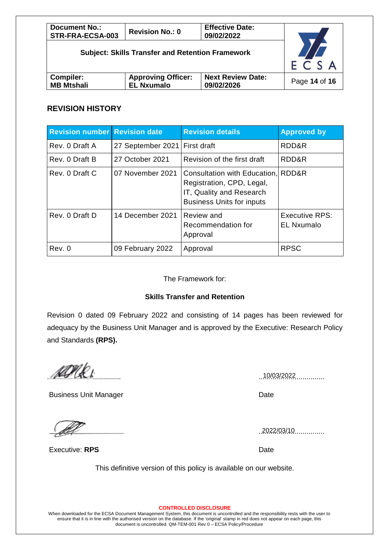| <b>Document No.:</b><br>STR-FRA-ECSA-003                |                                                                                          |  |  |  |  |
|---------------------------------------------------------|------------------------------------------------------------------------------------------|--|--|--|--|
| <b>Subject: Skills Transfer and Retention Framework</b> | $F \overline{C} S A$                                                                     |  |  |  |  |
| <b>Compiler:</b><br><b>MB Mtshali</b>                   | <b>Next Review Date:</b><br><b>Approving Officer:</b><br><b>EL Nxumalo</b><br>09/02/2026 |  |  |  |  |

#### **REVISION HISTORY**

| <b>Revision number Revision date</b> |                               | <b>Revision details</b>                                                                                                         | <b>Approved by</b>                  |
|--------------------------------------|-------------------------------|---------------------------------------------------------------------------------------------------------------------------------|-------------------------------------|
| Rev. 0 Draft A                       | 27 September 2021 First draft |                                                                                                                                 | RDD&R                               |
| Rev. 0 Draft B                       | 27 October 2021               | Revision of the first draft                                                                                                     | RDD&R                               |
| Rev. 0 Draft C                       | 07 November 2021              | Consultation with Education, RDD&R<br>Registration, CPD, Legal,<br>IT, Quality and Research<br><b>Business Units for inputs</b> |                                     |
| Rev. 0 Draft D                       | 14 December 2021              | Review and<br>Recommendation for<br>Approval                                                                                    | Executive RPS:<br><b>EL Nxumalo</b> |
| Rev. 0                               | 09 February 2022              | Approval                                                                                                                        | <b>RPSC</b>                         |

The Framework for:

#### **Skills Transfer and Retention**

Revision 0 dated 09 February 2022 and consisting of 14 pages has been reviewed for adequacy by the Business Unit Manager and is approved by the Executive: Research Policy and Standards **(RPS).**

..................................... ................................. 10/03/2022

Business Unit Manager **Date** Date

..................................... ................................. 2022/03/10

This definitive version of this policy is available on our website.

**CONTROLLED DISCLOSURE**

Executive: **RPS** Date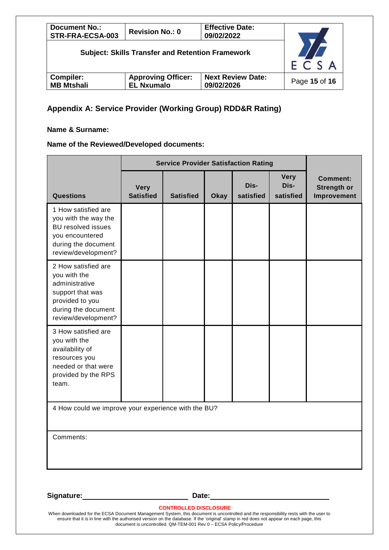| <b>Document No.:</b><br>STR-FRA-ECSA-003                |                                                |               |
|---------------------------------------------------------|------------------------------------------------|---------------|
| <b>Subject: Skills Transfer and Retention Framework</b> | $E\overline{C} S A$                            |               |
| <b>Compiler:</b><br><b>MB Mtshali</b>                   | <b>Approving Officer:</b><br><b>EL Nxumalo</b> | Page 15 of 16 |

## **Appendix A: Service Provider (Working Group) RDD&R Rating)**

#### **Name & Surname:**

#### **Name of the Reviewed/Developed documents:**

|                                                                                                                                            | <b>Service Provider Satisfaction Rating</b> |                  |             |                   |                                  |                                                      |
|--------------------------------------------------------------------------------------------------------------------------------------------|---------------------------------------------|------------------|-------------|-------------------|----------------------------------|------------------------------------------------------|
| <b>Questions</b>                                                                                                                           | <b>Very</b><br><b>Satisfied</b>             | <b>Satisfied</b> | <b>Okay</b> | Dis-<br>satisfied | <b>Very</b><br>Dis-<br>satisfied | <b>Comment:</b><br><b>Strength or</b><br>Improvement |
| 1 How satisfied are<br>you with the way the<br><b>BU resolved issues</b><br>you encountered<br>during the document<br>review/development?  |                                             |                  |             |                   |                                  |                                                      |
| 2 How satisfied are<br>you with the<br>administrative<br>support that was<br>provided to you<br>during the document<br>review/development? |                                             |                  |             |                   |                                  |                                                      |
| 3 How satisfied are<br>you with the<br>availability of<br>resources you<br>needed or that were<br>provided by the RPS<br>team.             |                                             |                  |             |                   |                                  |                                                      |
| 4 How could we improve your experience with the BU?                                                                                        |                                             |                  |             |                   |                                  |                                                      |
| Comments:                                                                                                                                  |                                             |                  |             |                   |                                  |                                                      |

Signature: Date:

**CONTROLLED DISCLOSURE**